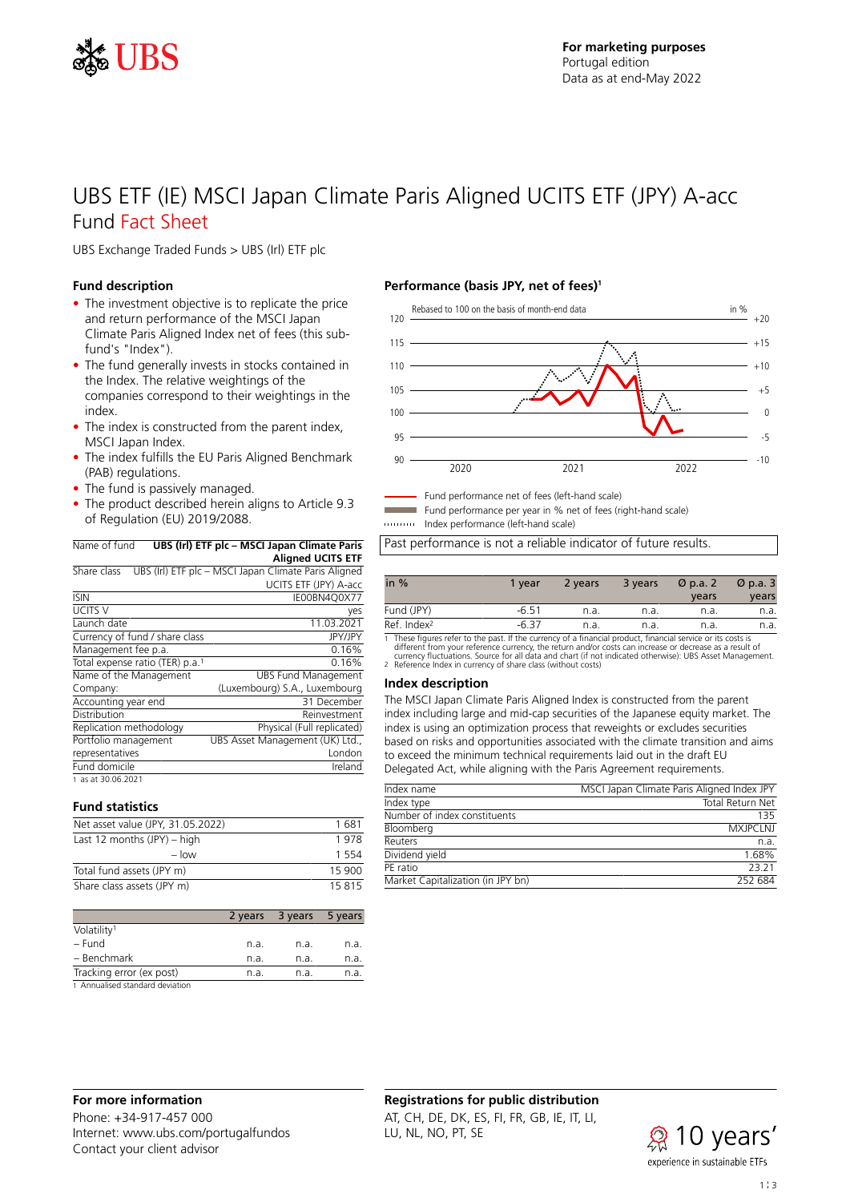

# UBS ETF (IE) MSCI Japan Climate Paris Aligned UCITS ETF (JPY) A-acc Fund Fact Sheet

UBS Exchange Traded Funds > UBS (Irl) ETF plc

### **Fund description**

- The investment objective is to replicate the price and return performance of the MSCI Japan Climate Paris Aligned Index net of fees (this subfund's "Index").
- The fund generally invests in stocks contained in the Index. The relative weightings of the companies correspond to their weightings in the index.
- The index is constructed from the parent index, MSCI Japan Index.
- The index fulfills the EU Paris Aligned Benchmark (PAB) regulations.
- The fund is passively managed.
- The product described herein aligns to Article 9.3 of Regulation (EU) 2019/2088.

Name of fund **UBS (Irl) ETF plc – MSCI Japan Climate Paris Aligned UCITS ETF**

| Share class                                 | UBS (Irl) ETF plc - MSCI Japan Climate Paris Aligned |
|---------------------------------------------|------------------------------------------------------|
|                                             | UCITS ETF (JPY) A-acc                                |
| <b>ISIN</b>                                 | IE00BN4O0X77                                         |
| UCITS V                                     | yes                                                  |
| Launch date                                 | 11.03.2021                                           |
| Currency of fund / share class              | <b>JPY/JPY</b>                                       |
| Management fee p.a.                         | 0.16%                                                |
| Total expense ratio (TER) p.a. <sup>1</sup> | 0.16%                                                |
| Name of the Management                      | <b>UBS Fund Management</b>                           |
| Company:                                    | (Luxembourg) S.A., Luxembourg                        |
| Accounting year end                         | 31 December                                          |
| Distribution                                | Reinvestment                                         |
| Replication methodology                     | Physical (Full replicated)                           |
| Portfolio management                        | UBS Asset Management (UK) Ltd.,                      |
| representatives                             | London                                               |
| Fund domicile                               | Ireland                                              |
| 1 as at 30.06.2021                          |                                                      |

### **Fund statistics**

| Net asset value (JPY, 31.05.2022) | 1681    |
|-----------------------------------|---------|
| Last 12 months $(JPY) - high$     |         |
| $-$ low                           | 1 5 5 4 |
| Total fund assets (JPY m)         | 15 900  |
| Share class assets (JPY m)        | 15815   |

|                                               | 2 years | 3 years | 5 years |
|-----------------------------------------------|---------|---------|---------|
| Volatility <sup>1</sup>                       |         |         |         |
| – Fund                                        | n.a.    | n.a.    | n.a.    |
| - Benchmark                                   | n.a.    | n.a.    | n.a.    |
| Tracking error (ex post)                      | n.a.    | n.a.    | n.a.    |
| the Alexandre and action and and also decided |         |         |         |

1 Annualised standard deviation

# **Performance (basis JPY, net of fees)<sup>1</sup>**



Fund performance net of fees (left-hand scale)

Fund performance per year in % net of fees (right-hand scale)

Index performance (left-hand scale)

Past performance is not a reliable indicator of future results.

| in $%$                  | 1 vear  | 2 years | 3 years | Ø p.a. 2 | $\varnothing$ p.a. 3 |
|-------------------------|---------|---------|---------|----------|----------------------|
|                         |         |         |         | years    | vears                |
| Fund (JPY)              | $-6.51$ | n.a.    | n.a.    | n.a.     | n.a.                 |
| Ref. Index <sup>2</sup> | $-6.37$ | n.a.    | n.a.    | n.a.     | n.a.                 |

1 These figures refer to the past. If the currency of a financial product, financial service or its costs is<br>different from your reference currency, the return and/or costs can increase or decrease as a result of<br>currency

#### **Index description**

The MSCI Japan Climate Paris Aligned Index is constructed from the parent index including large and mid-cap securities of the Japanese equity market. The index is using an optimization process that reweights or excludes securities based on risks and opportunities associated with the climate transition and aims to exceed the minimum technical requirements laid out in the draft EU Delegated Act, while aligning with the Paris Agreement requirements.

| Index name                        | MSCI Japan Climate Paris Aligned Index JPY |
|-----------------------------------|--------------------------------------------|
| Index type                        | Total Return Net                           |
| Number of index constituents      | 135                                        |
| Bloomberg                         | <b>MXJPCI NJ</b>                           |
| Reuters                           | n.a.                                       |
| Dividend yield                    | 1.68%                                      |
| PF ratio                          | 23 21                                      |
| Market Capitalization (in JPY bn) | 252 684                                    |

### **For more information**

Phone: +34-917-457 000 Internet: www.ubs.com/portugalfundos Contact your client advisor

# **Registrations for public distribution** AT, CH, DE, DK, ES, FI, FR, GB, IE, IT, LI, LU, NL, NO, PT, SE

 $\mathcal{R}$  10 years' experience in sustainable ETFs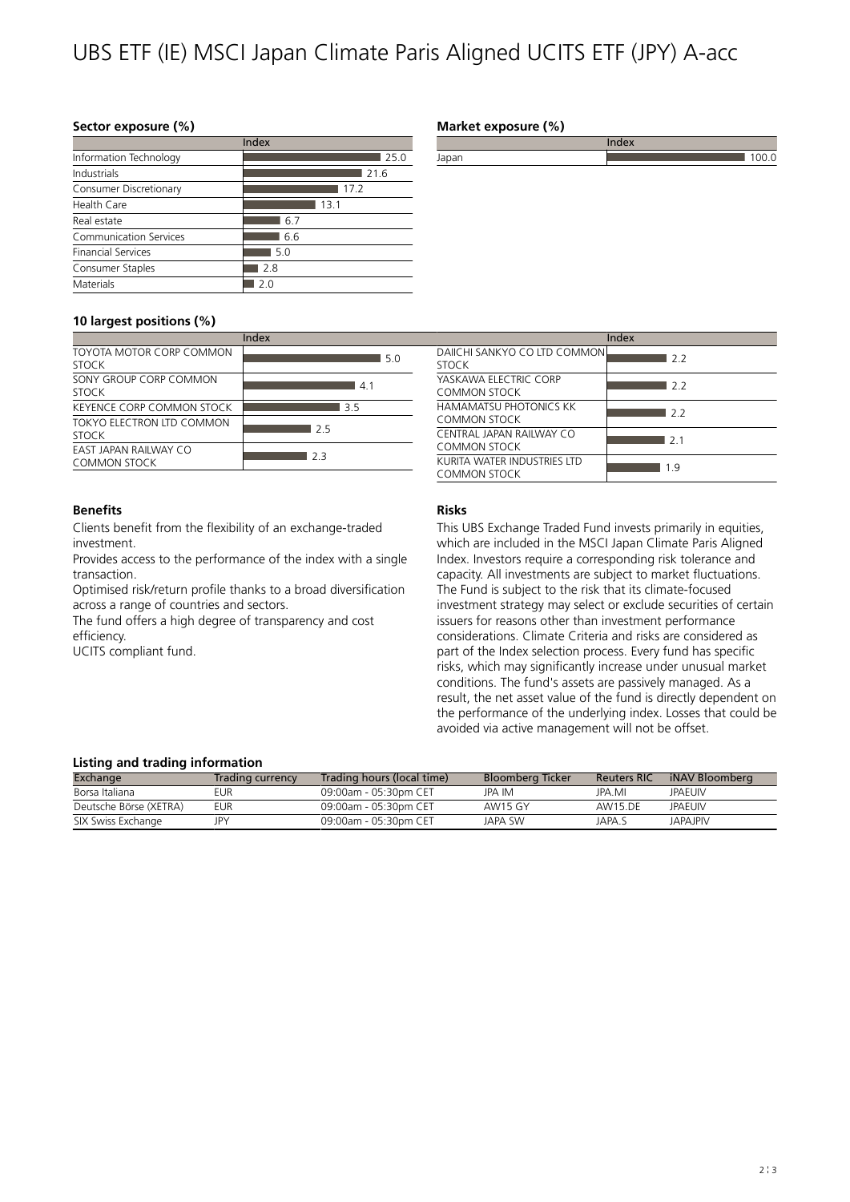# UBS ETF (IE) MSCI Japan Climate Paris Aligned UCITS ETF (JPY) A-acc

### **Sector exposure (%)**

|                               | Index |
|-------------------------------|-------|
| Information Technology        | 25.0  |
| Industrials                   | 21.6  |
| Consumer Discretionary        | 17.2  |
| Health Care                   | 13.1  |
| Real estate                   | 6.7   |
| <b>Communication Services</b> | 6.6   |
| <b>Financial Services</b>     | 5.0   |
| Consumer Staples              | 2.8   |
| Materials                     | 2 በ   |
|                               |       |

# **10 largest positions (%)**

|                                              | Index |
|----------------------------------------------|-------|
| TOYOTA MOTOR CORP COMMON<br><b>STOCK</b>     | 5.0   |
| SONY GROUP CORP COMMON<br><b>STOCK</b>       | 41    |
| KEYENCE CORP COMMON STOCK                    | 35    |
| TOKYO ELECTRON LTD COMMON<br><b>STOCK</b>    | 25    |
| <b>FAST JAPAN RAILWAY CO</b><br>COMMON STOCK | フヨ    |

### **Benefits**

Clients benefit from the flexibility of an exchange-traded investment.

Provides access to the performance of the index with a single transaction.

Optimised risk/return profile thanks to a broad diversification across a range of countries and sectors.

The fund offers a high degree of transparency and cost efficiency.

UCITS compliant fund.

## **Market exposure (%)**

|          |  | $\cdots$<br> |  |  |
|----------|--|--------------|--|--|
| $\cdots$ |  |              |  |  |
|          |  |              |  |  |

|                                              | Index |
|----------------------------------------------|-------|
| DAIICHI SANKYO CO ITD COMMON<br><b>STOCK</b> | 22    |
| YASKAWA FLECTRIC CORP<br>COMMON STOCK        | 22    |
| HAMAMATSU PHOTONICS KK<br>COMMON STOCK       | 22    |
| CENTRAL JAPAN RAILWAY CO<br>COMMON STOCK     | 21    |
| KURITA WATER INDUSTRIES ITD<br>COMMON STOCK  | 1 Q   |

## **Risks**

This UBS Exchange Traded Fund invests primarily in equities, which are included in the MSCI Japan Climate Paris Aligned Index. Investors require a corresponding risk tolerance and capacity. All investments are subject to market fluctuations. The Fund is subject to the risk that its climate-focused investment strategy may select or exclude securities of certain issuers for reasons other than investment performance considerations. Climate Criteria and risks are considered as part of the Index selection process. Every fund has specific risks, which may significantly increase under unusual market conditions. The fund's assets are passively managed. As a result, the net asset value of the fund is directly dependent on the performance of the underlying index. Losses that could be avoided via active management will not be offset.

### **Listing and trading information**

| Exchange               | Trading currency | Trading hours (local time) | Bloomberg Ticker | <b>Reuters RIC</b> | iNAV Bloomberg  |  |
|------------------------|------------------|----------------------------|------------------|--------------------|-----------------|--|
| Borsa Italiana         | FUR.             | 09:00am - 05:30pm CFT      | JPA IM           | JPA MI             | <b>JPAFUIV</b>  |  |
| Deutsche Börse (XETRA) | eur              | 09:00am - 05:30pm CET      | AW15 GY          | AW15.DF            | <b>JPAFUIV</b>  |  |
| SIX Swiss Exchange     |                  | 09:00am - 05:30pm CET      | JAPA SW          | JAPA S             | <b>JAPAJPIV</b> |  |